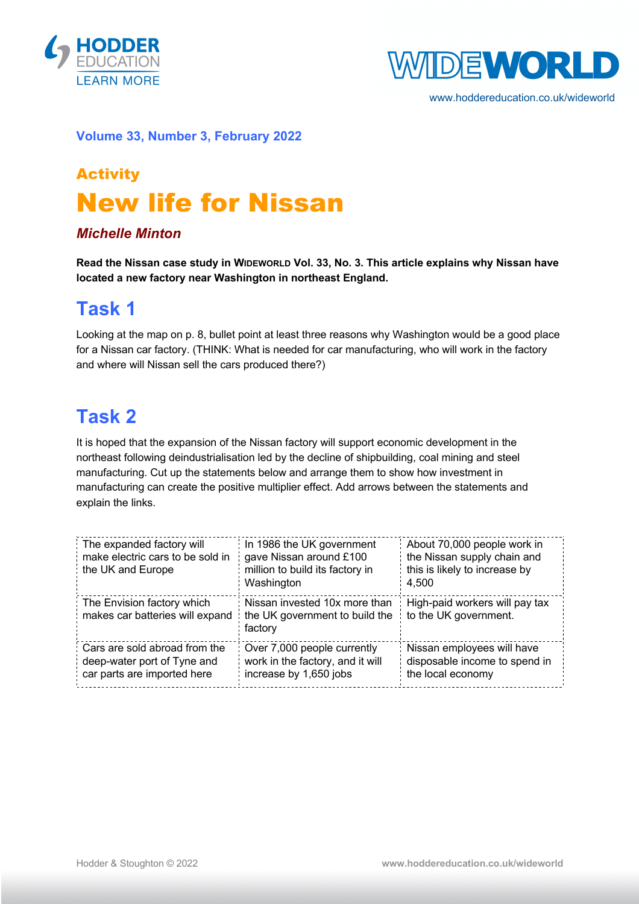



www.hoddereducation.co.uk/wideworld

#### **Volume 33, Number 3, February 2022**

# Activity New life for Nissan

#### *Michelle Minton*

**Read the Nissan case study in WIDEWORLD Vol. 33, No. 3. This article explains why Nissan have located a new factory near Washington in northeast England.**

#### **Task 1**

Looking at the map on p. 8, bullet point at least three reasons why Washington would be a good place for a Nissan car factory. (THINK: What is needed for car manufacturing, who will work in the factory and where will Nissan sell the cars produced there?)

### **Task 2**

It is hoped that the expansion of the Nissan factory will support economic development in the northeast following deindustrialisation led by the decline of shipbuilding, coal mining and steel manufacturing. Cut up the statements below and arrange them to show how investment in manufacturing can create the positive multiplier effect. Add arrows between the statements and explain the links.

| The expanded factory will<br>make electric cars to be sold in<br>the UK and Europe          | In 1986 the UK government<br>gave Nissan around £100<br>million to build its factory in<br>Washington | About 70,000 people work in<br>the Nissan supply chain and<br>this is likely to increase by<br>4.500 |
|---------------------------------------------------------------------------------------------|-------------------------------------------------------------------------------------------------------|------------------------------------------------------------------------------------------------------|
| The Envision factory which<br>makes car batteries will expand                               | Nissan invested 10x more than<br>the UK government to build the<br>factory                            | High-paid workers will pay tax<br>to the UK government.                                              |
| Cars are sold abroad from the<br>deep-water port of Tyne and<br>car parts are imported here | Over 7,000 people currently<br>work in the factory, and it will<br>increase by 1,650 jobs             | Nissan employees will have<br>disposable income to spend in<br>the local economy                     |